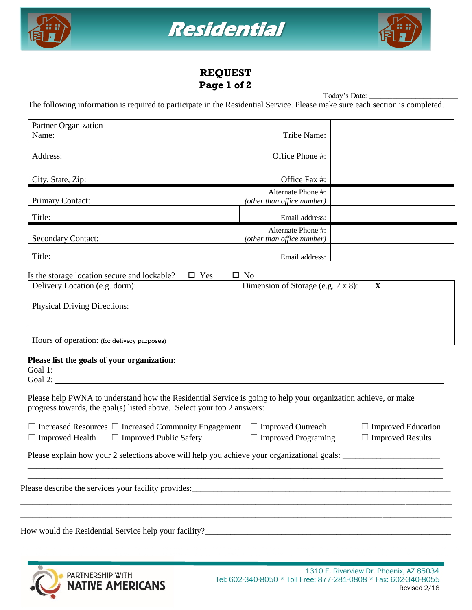





## **REQUEST Page 1 of 2**

Today's Date: \_ The following information is required to participate in the Residential Service. Please make sure each section is completed.

| Partner Organization<br>Name:                                                                                                                                                            | Tribe Name:                                                                                                       |  |  |  |
|------------------------------------------------------------------------------------------------------------------------------------------------------------------------------------------|-------------------------------------------------------------------------------------------------------------------|--|--|--|
| Address:                                                                                                                                                                                 | Office Phone #:                                                                                                   |  |  |  |
| City, State, Zip:                                                                                                                                                                        | Office Fax #:                                                                                                     |  |  |  |
| Primary Contact:                                                                                                                                                                         | Alternate Phone #:<br>(other than office number)                                                                  |  |  |  |
| Title:                                                                                                                                                                                   | Email address:                                                                                                    |  |  |  |
| <b>Secondary Contact:</b>                                                                                                                                                                | Alternate Phone #:<br>(other than office number)                                                                  |  |  |  |
| Title:                                                                                                                                                                                   | Email address:                                                                                                    |  |  |  |
| Is the storage location secure and lockable?<br>$\Box$ Yes<br>Delivery Location (e.g. dorm):                                                                                             | $\square$ No<br>Dimension of Storage (e.g. 2 x 8):<br>$\mathbf{X}$                                                |  |  |  |
| <b>Physical Driving Directions:</b>                                                                                                                                                      |                                                                                                                   |  |  |  |
|                                                                                                                                                                                          |                                                                                                                   |  |  |  |
| Hours of operation: (for delivery purposes)                                                                                                                                              |                                                                                                                   |  |  |  |
| Please list the goals of your organization:<br>Goal 1:<br>Goal 2:                                                                                                                        |                                                                                                                   |  |  |  |
| Please help PWNA to understand how the Residential Service is going to help your organization achieve, or make<br>progress towards, the goal(s) listed above. Select your top 2 answers: |                                                                                                                   |  |  |  |
| $\Box$ Increased Resources $\Box$ Increased Community Engagement<br>$\Box$ Improved Public Safety<br>$\Box$ Improved Health                                                              | $\Box$ Improved Outreach<br>$\Box$ Improved Education<br>$\Box$ Improved Programing<br>$\Box$<br>Improved Results |  |  |  |
| Please explain how your 2 selections above will help you achieve your organizational goals:                                                                                              |                                                                                                                   |  |  |  |
| Please describe the services your facility provides:                                                                                                                                     |                                                                                                                   |  |  |  |
| How would the Residential Service help your facility?_                                                                                                                                   |                                                                                                                   |  |  |  |